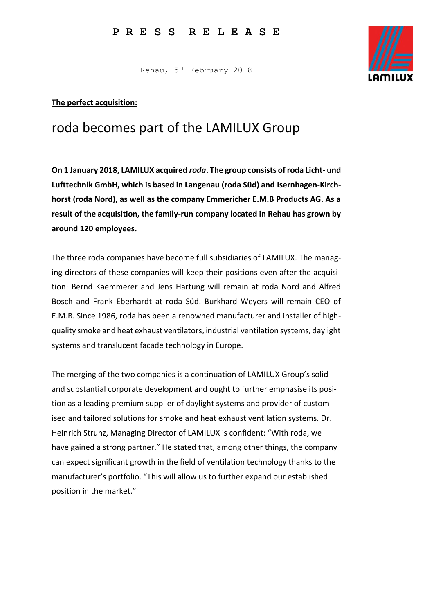Rehau, 5th February 2018

## **The perfect acquisition:**

## roda becomes part of the LAMILUX Group

**On 1 January 2018, LAMILUX acquired** *roda***. The group consists of roda Licht- und Lufttechnik GmbH, which is based in Langenau (roda Süd) and Isernhagen-Kirchhorst (roda Nord), as well as the company Emmericher E.M.B Products AG. As a result of the acquisition, the family-run company located in Rehau has grown by around 120 employees.**

The three roda companies have become full subsidiaries of LAMILUX. The managing directors of these companies will keep their positions even after the acquisition: Bernd Kaemmerer and Jens Hartung will remain at roda Nord and Alfred Bosch and Frank Eberhardt at roda Süd. Burkhard Weyers will remain CEO of E.M.B. Since 1986, roda has been a renowned manufacturer and installer of highquality smoke and heat exhaust ventilators, industrial ventilation systems, daylight systems and translucent facade technology in Europe.

The merging of the two companies is a continuation of LAMILUX Group's solid and substantial corporate development and ought to further emphasise its position as a leading premium supplier of daylight systems and provider of customised and tailored solutions for smoke and heat exhaust ventilation systems. Dr. Heinrich Strunz, Managing Director of LAMILUX is confident: "With roda, we have gained a strong partner." He stated that, among other things, the company can expect significant growth in the field of ventilation technology thanks to the manufacturer's portfolio. "This will allow us to further expand our established position in the market."